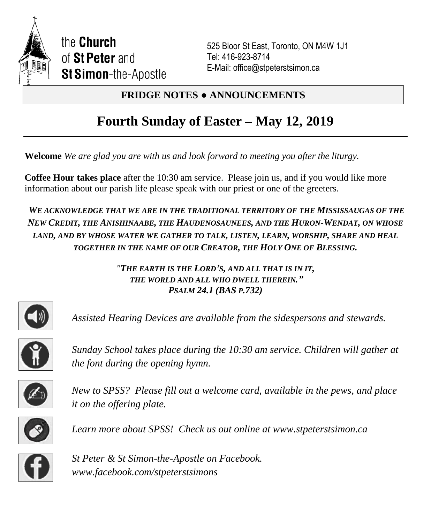

525 Bloor St East, Toronto, ON M4W 1J1 Tel: 416-923-8714 E-Mail: office@stpeterstsimon.ca

# **FRIDGE NOTES ● ANNOUNCEMENTS**

# **Fourth Sunday of Easter – May 12, 2019**

**Welcome** *We are glad you are with us and look forward to meeting you after the liturgy.*

**Coffee Hour takes place** after the 10:30 am service. Please join us, and if you would like more information about our parish life please speak with our priest or one of the greeters.

*WE ACKNOWLEDGE THAT WE ARE IN THE TRADITIONAL TERRITORY OF THE MISSISSAUGAS OF THE NEW CREDIT, THE ANISHINAABE, THE HAUDENOSAUNEES, AND THE HURON-WENDAT, ON WHOSE LAND, AND BY WHOSE WATER WE GATHER TO TALK, LISTEN, LEARN, WORSHIP, SHARE AND HEAL TOGETHER IN THE NAME OF OUR CREATOR, THE HOLY ONE OF BLESSING.*

> *"THE EARTH IS THE LORD'S, AND ALL THAT IS IN IT, THE WORLD AND ALL WHO DWELL THEREIN." PSALM 24.1 (BAS P.732)*



*Assisted Hearing Devices are available from the sidespersons and stewards.*



*Sunday School takes place during the 10:30 am service. Children will gather at the font during the opening hymn.*



*New to SPSS? Please fill out a welcome card, available in the pews, and place it on the offering plate.* 



*Learn more about SPSS! Check us out online at www.stpeterstsimon.ca* 



*St Peter & St Simon-the-Apostle on Facebook. www.facebook.com/stpeterstsimons*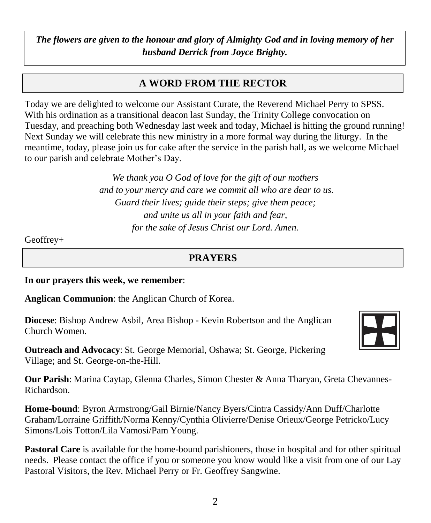*The flowers are given to the honour and glory of Almighty God and in loving memory of her husband Derrick from Joyce Brighty.*

# **A WORD FROM THE RECTOR**

Today we are delighted to welcome our Assistant Curate, the Reverend Michael Perry to SPSS. With his ordination as a transitional deacon last Sunday, the Trinity College convocation on Tuesday, and preaching both Wednesday last week and today, Michael is hitting the ground running! Next Sunday we will celebrate this new ministry in a more formal way during the liturgy. In the meantime, today, please join us for cake after the service in the parish hall, as we welcome Michael to our parish and celebrate Mother's Day.

> *We thank you O God of love for the gift of our mothers and to your mercy and care we commit all who are dear to us. Guard their lives; guide their steps; give them peace; and unite us all in your faith and fear, for the sake of Jesus Christ our Lord. Amen.*

Geoffrey+

# **PRAYERS**

**In our prayers this week, we remember**:

**Anglican Communion**: the Anglican Church of Korea.

**Diocese**: Bishop Andrew Asbil, Area Bishop - Kevin Robertson and the Anglican Church Women.



**Outreach and Advocacy**: St. George Memorial, Oshawa; St. George, Pickering Village; and St. George-on-the-Hill.

**Our Parish**: Marina Caytap, Glenna Charles, Simon Chester & Anna Tharyan, Greta Chevannes-Richardson.

**Home-bound**: Byron Armstrong/Gail Birnie/Nancy Byers/Cintra Cassidy/Ann Duff/Charlotte Graham/Lorraine Griffith/Norma Kenny/Cynthia Olivierre/Denise Orieux/George Petricko/Lucy Simons/Lois Totton/Lila Vamosi/Pam Young.

**Pastoral Care** is available for the home-bound parishioners, those in hospital and for other spiritual needs. Please contact the office if you or someone you know would like a visit from one of our Lay Pastoral Visitors, the Rev. Michael Perry or Fr. Geoffrey Sangwine.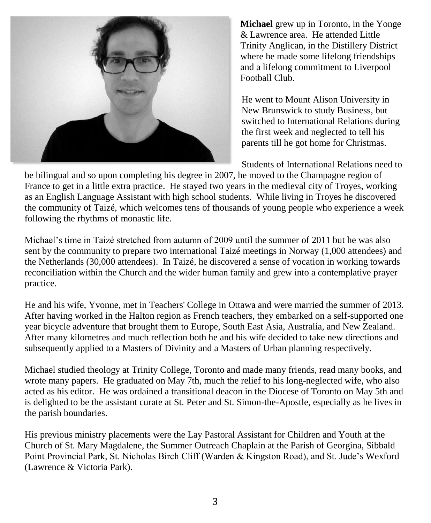

**Michael** grew up in Toronto, in the Yonge & Lawrence area. He attended Little Trinity Anglican, in the Distillery District where he made some lifelong friendships and a lifelong commitment to Liverpool Football Club.

He went to Mount Alison University in New Brunswick to study Business, but switched to International Relations during the first week and neglected to tell his parents till he got home for Christmas.

Students of International Relations need to

be bilingual and so upon completing his degree in 2007, he moved to the Champagne region of France to get in a little extra practice. He stayed two years in the medieval city of Troyes, working as an English Language Assistant with high school students. While living in Troyes he discovered the community of Taizé, which welcomes tens of thousands of young people who experience a week following the rhythms of monastic life.

Michael's time in Taizé stretched from autumn of 2009 until the summer of 2011 but he was also sent by the community to prepare two international Taizé meetings in Norway (1,000 attendees) and the Netherlands (30,000 attendees). In Taizé, he discovered a sense of vocation in working towards reconciliation within the Church and the wider human family and grew into a contemplative prayer practice.

He and his wife, Yvonne, met in Teachers' College in Ottawa and were married the summer of 2013. After having worked in the Halton region as French teachers, they embarked on a self-supported one year bicycle adventure that brought them to Europe, South East Asia, Australia, and New Zealand. After many kilometres and much reflection both he and his wife decided to take new directions and subsequently applied to a Masters of Divinity and a Masters of Urban planning respectively.

Michael studied theology at Trinity College, Toronto and made many friends, read many books, and wrote many papers. He graduated on May 7th, much the relief to his long-neglected wife, who also acted as his editor. He was ordained a transitional deacon in the Diocese of Toronto on May 5th and is delighted to be the assistant curate at St. Peter and St. Simon-the-Apostle, especially as he lives in the parish boundaries.

His previous ministry placements were the Lay Pastoral Assistant for Children and Youth at the Church of St. Mary Magdalene, the Summer Outreach Chaplain at the Parish of Georgina, Sibbald Point Provincial Park, St. Nicholas Birch Cliff (Warden & Kingston Road), and St. Jude's Wexford (Lawrence & Victoria Park).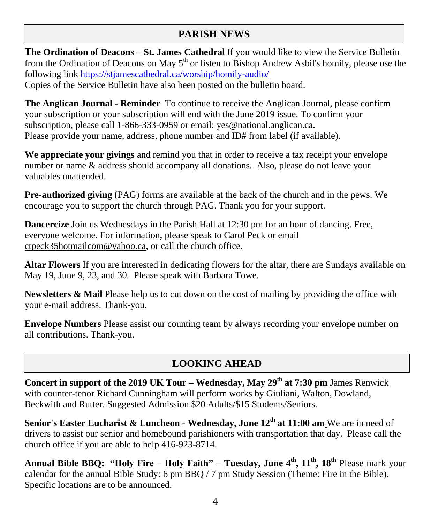# **PARISH NEWS**

**The Ordination of Deacons – St. James Cathedral** If you would like to view the Service Bulletin from the Ordination of Deacons on May  $5<sup>th</sup>$  or listen to Bishop Andrew Asbil's homily, please use the following link<https://stjamescathedral.ca/worship/homily-audio/> Copies of the Service Bulletin have also been posted on the bulletin board.

**The Anglican Journal - Reminder** To continue to receive the Anglican Journal, please confirm your subscription or your subscription will end with the June 2019 issue. To confirm your subscription, please call 1-866-333-0959 or email: yes@national.anglican.ca. Please provide your name, address, phone number and ID# from label (if available).

**We appreciate your givings** and remind you that in order to receive a tax receipt your envelope number or name & address should accompany all donations. Also, please do not leave your valuables unattended.

**Pre-authorized giving** (PAG) forms are available at the back of the church and in the pews. We encourage you to support the church through PAG. Thank you for your support.

**Dancercize** Join us Wednesdays in the Parish Hall at 12:30 pm for an hour of dancing. Free, everyone welcome. For information, please speak to Carol Peck or email [ctpeck35hotmailcom@](mailto:ctpeck35@hotmail.com)yahoo.ca, or call the church office.

**Altar Flowers** If you are interested in dedicating flowers for the altar, there are Sundays available on May 19, June 9, 23, and 30. Please speak with Barbara Towe.

**Newsletters & Mail** Please help us to cut down on the cost of mailing by providing the office with your e-mail address. Thank-you.

**Envelope Numbers** Please assist our counting team by always recording your envelope number on all contributions. Thank-you.

# **LOOKING AHEAD**

**Concert in support of the 2019 UK Tour – Wednesday, May 29th at 7:30 pm** James Renwick with counter-tenor Richard Cunningham will perform works by Giuliani, Walton, Dowland, Beckwith and Rutter. Suggested Admission \$20 Adults/\$15 Students/Seniors.

**Senior's Easter Eucharist & Luncheon - Wednesday, June 12th at 11:00 am** We are in need of drivers to assist our senior and homebound parishioners with transportation that day. Please call the church office if you are able to help 416-923-8714.

**Annual Bible BBQ: "Holy Fire – Holy Faith" – Tuesday, June 4 th, 11th , 18th** Please mark your calendar for the annual Bible Study: 6 pm BBQ / 7 pm Study Session (Theme: Fire in the Bible). Specific locations are to be announced.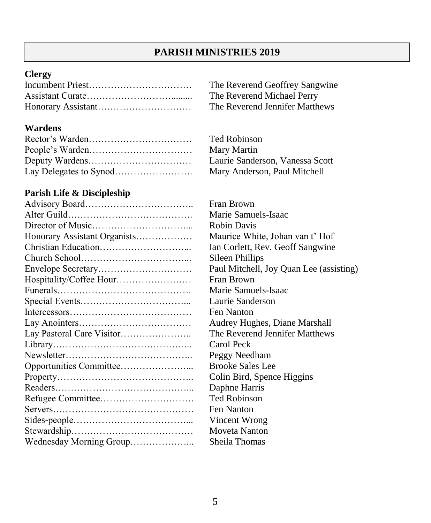# **PARISH MINISTRIES 2019**

### **Clergy**

### **Wardens**

# **Parish Life & Discipleship**

| Honorary Assistant Organists |
|------------------------------|
|                              |
|                              |
|                              |
| Hospitality/Coffee Hour      |
|                              |
|                              |
|                              |
|                              |
|                              |
|                              |
|                              |
|                              |
|                              |
|                              |
|                              |
|                              |
|                              |
|                              |
| Wednesday Morning Group      |

The Reverend Geoffrey Sangwine The Reverend Michael Perry The Reverend Jennifer Matthews

Ted Robinson **Mary Martin** Laurie Sanderson, Vanessa Scott Mary Anderson, Paul Mitchell

Fran Brown Marie Samuels-Isaac Robin Davis Maurice White, Johan van t' Hof Ian Corlett, Rev. Geoff Sangwine Sileen Phillips Paul Mitchell, Joy Quan Lee (assisting) Fran Brown Marie Samuels-Isaac Laurie Sanderson Fen Nanton Audrey Hughes, Diane Marshall The Reverend Jennifer Matthews Carol Peck Peggy Needham Brooke Sales Lee Colin Bird, Spence Higgins Daphne Harris **Ted Robinson** Fen Nanton Vincent Wrong Moveta Nanton Sheila Thomas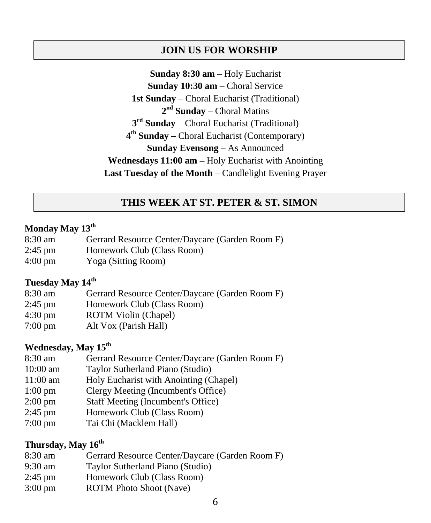### **JOIN US FOR WORSHIP**

**Sunday 8:30 am** – Holy Eucharist **Sunday 10:30 am** – Choral Service **1st Sunday** – Choral Eucharist (Traditional) **2 nd Sunday** – Choral Matins **3 rd Sunday** – Choral Eucharist (Traditional) **4 th Sunday** – Choral Eucharist (Contemporary) **Sunday Evensong** – As Announced **Wednesdays 11:00 am –** Holy Eucharist with Anointing **Last Tuesday of the Month** – Candlelight Evening Prayer

### **THIS WEEK AT ST. PETER & ST. SIMON**

#### **Monday May 13th**

- 8:30 am Gerrard Resource Center/Daycare (Garden Room F)
- 2:45 pm Homework Club (Class Room)
- 4:00 pm Yoga (Sitting Room)

## **Tuesday May 14th**

- 8:30 am Gerrard Resource Center/Daycare (Garden Room F)
- 2:45 pm Homework Club (Class Room)
- 4:30 pm ROTM Violin (Chapel)
- 7:00 pm Alt Vox (Parish Hall)

### **Wednesday, May 15th**

- 8:30 am Gerrard Resource Center/Daycare (Garden Room F)
- 10:00 am Taylor Sutherland Piano (Studio)
- 11:00 am Holy Eucharist with Anointing (Chapel)
- 1:00 pm Clergy Meeting (Incumbent's Office)
- 2:00 pm Staff Meeting (Incumbent's Office)
- 2:45 pm Homework Club (Class Room)
- 7:00 pm Tai Chi (Macklem Hall)

# **Thursday, May 16th**

- 8:30 am Gerrard Resource Center/Daycare (Garden Room F)
- 9:30 am Taylor Sutherland Piano (Studio)
- 2:45 pm Homework Club (Class Room)
- 3:00 pm ROTM Photo Shoot (Nave)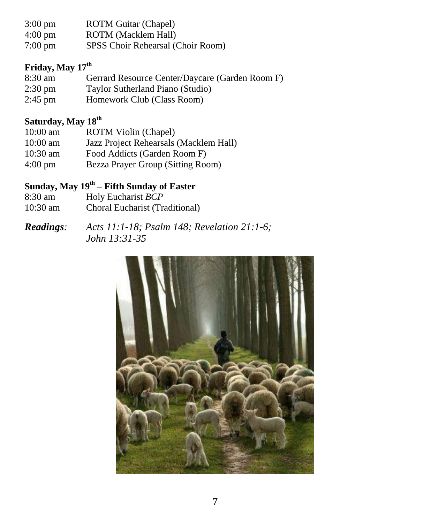- 3:00 pm ROTM Guitar (Chapel)
- 4:00 pm ROTM (Macklem Hall)
- 7:00 pm SPSS Choir Rehearsal (Choir Room)

# **Friday, May 17th**

8:30 am Gerrard Resource Center/Daycare (Garden Room F) 2:30 pm Taylor Sutherland Piano (Studio) 2:45 pm Homework Club (Class Room)

# **Saturday, May 18 th**

- 10:00 am ROTM Violin (Chapel)
- 10:00 am Jazz Project Rehearsals (Macklem Hall)
- 10:30 am Food Addicts (Garden Room F)
- 4:00 pm Bezza Prayer Group (Sitting Room)

# **Sunday, May 19 th – Fifth Sunday of Easter**

8:30 am Holy Eucharist *BCP* 10:30 am Choral Eucharist (Traditional)

*Readings: Acts 11:1-18; Psalm 148; Revelation 21:1-6; John 13:31-35*